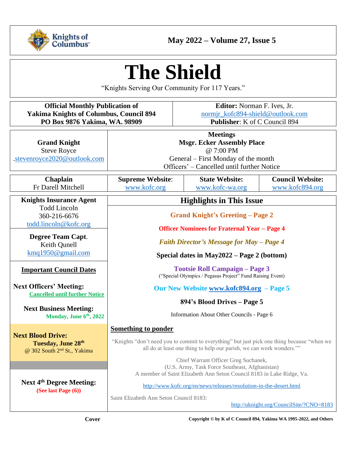

# **The Shield**

"Knights Serving Our Community For 117 Years."

| <b>Official Monthly Publication of</b>         |
|------------------------------------------------|
| <b>Yakima Knights of Columbus, Council 894</b> |
| PO Box 9876 Yakima, WA. 98909                  |

**Editor:** Norman F. Ives, Jr. [normjr\\_kofc894-shield@outlook.com](mailto:normjr_kofc894-shield@outlook.com) **Publisher**: K of C Council 894

| <b>Grand Knight</b><br><b>Steve Royce</b><br>.stevenroyce2020@outlook.com                 | <b>Meetings</b><br><b>Msgr. Ecker Assembly Place</b><br>@ $7:00$ PM<br>General – First Monday of the month<br>Officers' – Cancelled until further Notice           |                                          |                                            |  |
|-------------------------------------------------------------------------------------------|--------------------------------------------------------------------------------------------------------------------------------------------------------------------|------------------------------------------|--------------------------------------------|--|
| Chaplain<br>Fr Darell Mitchell                                                            | <b>Supreme Website:</b><br>www.kofc.org                                                                                                                            | <b>State Website:</b><br>www.kofc-wa.org | <b>Council Website:</b><br>www.kofc894.org |  |
| <b>Knights Insurance Agent</b>                                                            | <b>Highlights in This Issue</b>                                                                                                                                    |                                          |                                            |  |
| <b>Todd Lincoln</b><br>360-216-6676                                                       |                                                                                                                                                                    | <b>Grand Knight's Greeting - Page 2</b>  |                                            |  |
| todd.lincoln@kofc.org                                                                     | <b>Officer Nominees for Fraternal Year - Page 4</b>                                                                                                                |                                          |                                            |  |
| <b>Degree Team Capt.</b><br>Keith Qunell                                                  | <b>Faith Director's Message for May - Page 4</b>                                                                                                                   |                                          |                                            |  |
| kmq1950@gmail.com                                                                         | Special dates in May $2022 - Page 2$ (bottom)                                                                                                                      |                                          |                                            |  |
| <b>Important Council Dates</b>                                                            | <b>Tootsie Roll Campaign - Page 3</b><br>("Special Olympics / Pegasus Project" Fund Raising Event)                                                                 |                                          |                                            |  |
| <b>Next Officers' Meeting:</b><br><b>Cancelled until further Notice</b>                   | Our New Website www.kofc894.org - Page 5                                                                                                                           |                                          |                                            |  |
|                                                                                           | 894's Blood Drives - Page 5                                                                                                                                        |                                          |                                            |  |
| <b>Next Business Meeting:</b><br>Monday, June 6th, 2022                                   | Information About Other Councils - Page 6                                                                                                                          |                                          |                                            |  |
|                                                                                           | <b>Something to ponder</b>                                                                                                                                         |                                          |                                            |  |
| <b>Next Blood Drive:</b><br>Tuesday, June 28th<br>@ 302 South 2 <sup>nd</sup> St., Yakima | "Knights "don't need you to commit to everything" but just pick one thing because "when we<br>all do at least one thing to help our parish, we can work wonders."" |                                          |                                            |  |
|                                                                                           | Chief Warrant Officer Greg Suchanek,<br>(U.S. Army, Task Force Southeast, Afghanistan)                                                                             |                                          |                                            |  |
| <b>Next 4th Degree Meeting:</b><br>(See last Page $(6)$ )                                 | A member of Saint Elizabeth Ann Seton Council 8183 in Lake Ridge, Va.                                                                                              |                                          |                                            |  |
|                                                                                           | http://www.kofc.org/en/news/releases/resolution-in-the-desert.html                                                                                                 |                                          |                                            |  |
|                                                                                           | Saint Elizabeth Ann Seton Council 8183:<br>http://uknight.org/CouncilSite/?CNO=8183                                                                                |                                          |                                            |  |

**Cover Copyright © by K of C Council 894, Yakima WA 1995-2022, and Others**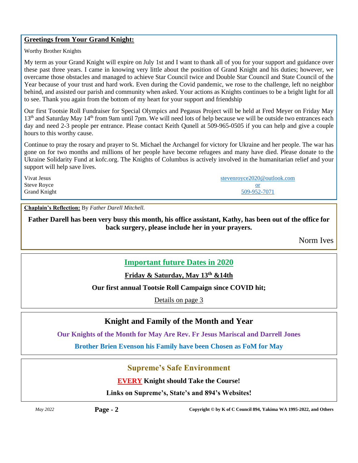#### **Greetings from Your Grand Knight:**

Worthy Brother Knights

My term as your Grand Knight will expire on July 1st and I want to thank all of you for your support and guidance over these past three years. I came in knowing very little about the position of Grand Knight and his duties; however, we overcame those obstacles and managed to achieve Star Council twice and Double Star Council and State Council of the Year because of your trust and hard work. Even during the Covid pandemic, we rose to the challenge, left no neighbor behind, and assisted our parish and community when asked. Your actions as Knights continues to be a bright light for all to see. Thank you again from the bottom of my heart for your support and friendship

Our first Tootsie Roll Fundraiser for Special Olympics and Pegasus Project will be held at Fred Meyer on Friday May 13<sup>th</sup> and Saturday May 14<sup>th</sup> from 9am until 7pm. We will need lots of help because we will be outside two entrances each day and need 2-3 people per entrance. Please contact Keith Qunell at 509-965-0505 if you can help and give a couple hours to this worthy cause.

Continue to pray the rosary and prayer to St. Michael the Archangel for victory for Ukraine and her people. The war has gone on for two months and millions of her people have become refugees and many have died. Please donate to the Ukraine Solidarity Fund at kofc.org. The Knights of Columbus is actively involved in the humanitarian relief and your support will help save lives.

| Vivat Jesus         | stevenroyce2020@outlook.com |
|---------------------|-----------------------------|
| Steve Royce         |                             |
| <b>Grand Knight</b> | 509-952-7071                |

**Chaplain's Reflection:** By *Father Darell Mitchell.*

**Father Darell has been very busy this month, his office assistant, Kathy, has been out of the office for back surgery, please include her in your prayers.**

Norm Ives

## **Important future Dates in 2020**

**Friday & Saturday, May 13th &14th** 

### **Our first annual Tootsie Roll Campaign since COVID hit;**

Details on page 3

## **Knight and Family of the Month and Year**

**Our Knights of the Month for May Are Rev. Fr Jesus Mariscal and Darrell Jones**

**Brother Brien Evenson his Family have been Chosen as FoM for May**

## **Supreme's Safe Environment**

**EVERY Knight should Take the Course!**

**Links on Supreme's, State's and 894's Websites!**

*May 2022* **Page - 2 Copyright © by K of C Council 894, Yakima WA 1995-2022, and Others**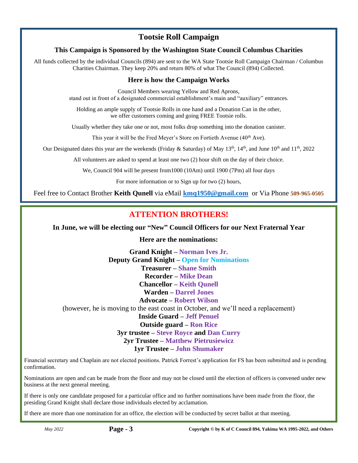## **Tootsie Roll Campaign**

## **This Campaign is Sponsored by the Washington State Council Columbus Charities**

All funds collected by the individual Councils (894) are sent to the WA State Tootsie Roll Campaign Chairman / Columbus Charities Chairman. They keep 20% and return 80% of what The Council (894) Collected.

## **Here is how the Campaign Works**

Council Members wearing Yellow and Red Aprons, stand out in front of a designated commercial establishment's main and "auxiliary" entrances.

Holding an ample supply of Tootsie Rolls in one hand and a Donation Can in the other, we offer customers coming and going FREE Tootsie rolls.

Usually whether they take one or not, most folks drop something into the donation canister.

This year it will be the Fred Meyer's Store on Fortieth Avenue (40<sup>th</sup> Ave).

Our Designated dates this year are the weekends (Friday & Saturday) of May 13<sup>th</sup>, 14<sup>th</sup>, and June 10<sup>th</sup> and 11<sup>th</sup>, 2022

All volunteers are asked to spend at least one two (2) hour shift on the day of their choice.

We, Council 904 will be present from1000 (10Am) until 1900 (7Pm) all four days

For more information or to Sign up for two (2) hours,

Feel free to Contact Brother **Keith Qunell** via eMail **[kmq1950@gmail.com](mailto:kmq1950@gmail.com)** or Via Phone **509-965-0505**

## **ATTENTION BROTHERS!**

**In June, we will be electing our "New" Council Officers for our Next Fraternal Year**

**Here are the nominations:**

**Grand Knight – Norman Ives Jr. Deputy Grand Knight – Open for Nominations Treasurer – Shane Smith Recorder – Mike Dean Chancellor – Keith Qunell Warden – Darrel Jones Advocate – Robert Wilson** (however, he is moving to the east coast in October, and we'll need a replacement) **Inside Guard – Jeff Penuel Outside guard – Ron Rice 3yr trustee – Steve Royce and Dan Curry 2yr Trustee – Matthew Pietrusiewicz 1yr Trustee – John Shumaker**

Financial secretary and Chaplain are not elected positions. Patrick Forrest's application for FS has been submitted and is pending confirmation.

Nominations are open and can be made from the floor and may not be closed until the election of officers is convened under new business at the next general meeting.

If there is only one candidate proposed for a particular office and no further nominations have been made from the floor, the presiding Grand Knight shall declare those individuals elected by acclamation.

If there are more than one nomination for an office, the election will be conducted by secret ballot at that meeting.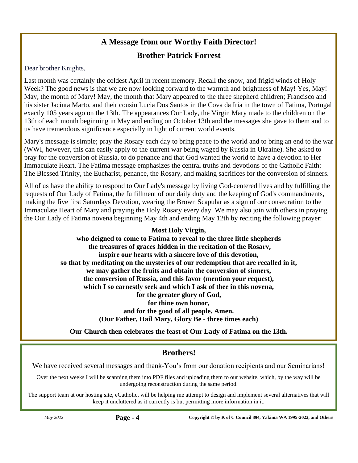# **A Message from our Worthy Faith Director!**

## **Brother Patrick Forrest**

Dear brother Knights,

Last month was certainly the coldest April in recent memory. Recall the snow, and frigid winds of Holy Week? The good news is that we are now looking forward to the warmth and brightness of May! Yes, May! May, the month of Mary! May, the month that Mary appeared to the three shepherd children; Francisco and his sister Jacinta Marto, and their cousin Lucia Dos Santos in the Cova da Iria in the town of Fatima, Portugal exactly 105 years ago on the 13th. The appearances Our Lady, the Virgin Mary made to the children on the 13th of each month beginning in May and ending on October 13th and the messages she gave to them and to us have tremendous significance especially in light of current world events.

Mary's message is simple; pray the Rosary each day to bring peace to the world and to bring an end to the war (WWI, however, this can easily apply to the current war being waged by Russia in Ukraine). She asked to pray for the conversion of Russia, to do penance and that God wanted the world to have a devotion to Her Immaculate Heart. The Fatima message emphasizes the central truths and devotions of the Catholic Faith: The Blessed Trinity, the Eucharist, penance, the Rosary, and making sacrifices for the conversion of sinners.

All of us have the ability to respond to Our Lady's message by living God-centered lives and by fulfilling the requests of Our Lady of Fatima, the fulfillment of our daily duty and the keeping of God's commandments, making the five first Saturdays Devotion, wearing the Brown Scapular as a sign of our consecration to the Immaculate Heart of Mary and praying the Holy Rosary every day. We may also join with others in praying the Our Lady of Fatima novena beginning May 4th and ending May 12th by reciting the following prayer:

## **Most Holy Virgin,**

**who deigned to come to Fatima to reveal to the three little shepherds the treasures of graces hidden in the recitation of the Rosary, inspire our hearts with a sincere love of this devotion, so that by meditating on the mysteries of our redemption that are recalled in it, we may gather the fruits and obtain the conversion of sinners, the conversion of Russia, and this favor (mention your request), which I so earnestly seek and which I ask of thee in this novena, for the greater glory of God, for thine own honor, and for the good of all people. Amen. (Our Father, Hail Mary, Glory Be - three times each)**

**Our Church then celebrates the feast of Our Lady of Fatima on the 13th.**

# **Brothers!**

We have received several messages and thank-You's from our donation recipients and our Seminarians!

Over the next weeks I will be scanning them into PDF files and uploading them to our website, which, by the way will be undergoing reconstruction during the same period.

The support team at our hosting site, eCatholic, will be helping me attempt to design and implement several alternatives that will keep it uncluttered as it currently is but permitting more information in it.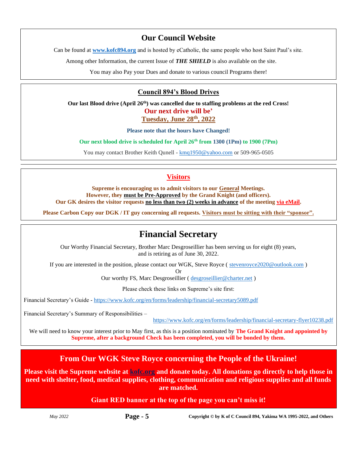## **Our Council Website**

Can be found at **[www.kofc894.org](http://www.kofc894.org/)** and is hosted by eCatholic, the same people who host Saint Paul's site.

Among other Information, the current Issue of *THE SHIELD* is also available on the site.

You may also Pay your Dues and donate to various council Programs there!

### **Council 894's Blood Drives**

**Our last Blood drive (April 26 th) was cancelled due to staffing problems at the red Cross! Our next drive will be' Tuesday, June 28th , 2022**

**Please note that the hours have Changed!**

**Our next blood drive is scheduled for April 26th from 1300 (1Pm) to 1900 (7Pm)**

You may contact Brother Keith Qunell - [kmq1950@yahoo.com](mailto:kmq1950@yahoo.com) or 509-965-0505

## **Visitors**

**Supreme is encouraging us to admit visitors to our General Meetings. However, they must be Pre-Approved by the Grand Knight (and officers). Our GK desires the visitor requests no less than two (2) weeks in advance of the meeting via eMail.**

**Please Carbon Copy our DGK / IT guy concerning all requests. Visitors must be sitting with their "sponsor".**

# **Financial Secretary**

Our Worthy Financial Secretary, Brother Marc Desgroseillier has been serving us for eight (8) years, and is retiring as of June 30, 2022.

If you are interested in the position, please contact our WGK, Steve Royce ( [stevenroyce2020@outlook.com](mailto:stevenroyce2020@outlook.com) )

Or

Our worthy FS, Marc Desgroseillier (desgroseillier@charter.net)

Please check these links on Supreme's site first:

Financial Secretary's Guide - <https://www.kofc.org/en/forms/leadership/financial-secretary5089.pdf>

Financial Secretary's Summary of Responsibilities –

[https://www.kofc.org/en/forms/leadership/financial-secretary-flyer10238.pdf](https://na01.safelinks.protection.outlook.com/?url=https%3A%2F%2Fwww.kofc.org%2Fen%2Fforms%2Fleadership%2Ffinancial-secretary-flyer10238.pdf&data=04%7C01%7C%7Cb00937488d9e449d5d3e08d9efe34f4d%7C84df9e7fe9f640afb435aaaaaaaaaaaa%7C1%7C0%7C637804581839317648%7CUnknown%7CTWFpbGZsb3d8eyJWIjoiMC4wLjAwMDAiLCJQIjoiV2luMzIiLCJBTiI6Ik1haWwiLCJXVCI6Mn0%3D%7C3000&sdata=OZbHFObJ4PBPdAYmymnOSoRM58bNqV5W5HYeaHTy4eY%3D&reserved=0)

We will need to know your interest prior to May first, as this is a position nominated by **The Grand Knight and appointed by Supreme, after a background Check has been completed, you will be bonded by them.**

## **From Our WGK Steve Royce concerning the People of the Ukraine!**

**Please visit the Supreme website at [kofc.org](https://www.kofc.org/en/index.html) and donate today. All donations go directly to help those in need with shelter, food, medical supplies, clothing, communication and religious supplies and all funds are matched.**

### **Giant RED banner at the top of the page you can't miss it!**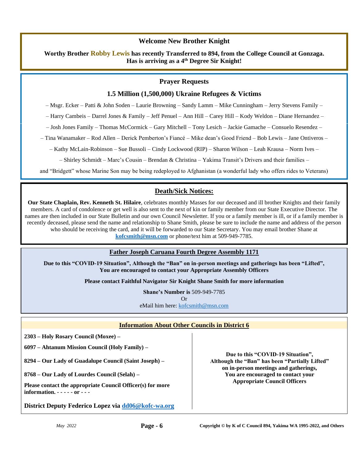#### **Welcome New Brother Knight**

**Worthy Brother Robby Lewis has recently Transferred to 894, from the College Council at Gonzaga. Has is arriving as a 4 th Degree Sir Knight!** 

#### **Prayer Requests**

#### **1.5 Million (1,500,000) Ukraine Refugees & Victims**

– Msgr. Ecker – Patti & John Soden – Laurie Browning – Sandy Lamm – Mike Cunningham – Jerry Stevens Family –

– Harry Cambeis – Darrel Jones & Family – Jeff Penuel – Ann Hill – Carey Hill – Kody Weldon – Diane Hernandez –

– Josh Jones Family – Thomas McCormick – Gary Mitchell – Tony Lesich – Jackie Gamache – Consuelo Resendez –

– Tina Wanamaker – Rod Allen – Derick Pemberton's Fiancé – Mike dean's Good Friend – Bob Lewis – Jane Ontiveros –

– Kathy McLain-Robinson – Sue Bussoli – Cindy Lockwood (RIP) – Sharon Wilson – Leah Krausa – Norm Ives –

– Shirley Schmidt – Marc's Cousin – Brendan & Christina – Yakima Transit's Drivers and their families –

and "Bridgett" whose Marine Son may be being redeployed to Afghanistan (a wonderful lady who offers rides to Veterans)

## **Death/Sick Notices:**

**Our State Chaplain, Rev. Kenneth St. Hilaire**, celebrates monthly Masses for our deceased and ill brother Knights and their family members. A card of condolence or get well is also sent to the next of kin or family member from our State Executive Director. The names are then included in our State Bulletin and our own Council Newsletter. If you or a family member is ill, or if a family member is recently deceased, please send the name and relationship to Shane Smith, please be sure to include the name and address of the person who should be receiving the card, and it will be forwarded to our State Secretary. You may email brother Shane at **[kofcsmith@msn.com](mailto:kofcsmith@msn.com)** or phone/text him at 509-949-7785.

#### **Father Joseph Caruana Fourth Degree Assembly 1171**

**Due to this "COVID-19 Situation", Although the "Ban" on in-person meetings and gatherings has been "Lifted", You are encouraged to contact your Appropriate Assembly Officers**

**Please contact Faithful Navigator Sir Knight Shane Smith for more information**

**Shane's Number is** 509-949-7785 Or eMail him here: [kofcsmith@msn.com](mailto:kofcsmith@msn.com)

#### **Information About Other Councils in District 6**

**2303 – Holy Rosary Council (Moxee) –**

**6097 – Ahtanum Mission Council (Holy Family) –**

**8294 – Our Lady of Guadalupe Council (Saint Joseph) –**

**8768 – Our Lady of Lourdes Council (Selah) –**

**Please contact the appropriate Council Officer(s) for more information. - - - - - or - - -**

**District Deputy Federico Lopez via [dd06@kofc-wa.org](mailto:dd06@kofc-wa.org)**

**Due to this "COVID-19 Situation", Although the "Ban" has been "Partially Lifted" on in-person meetings and gatherings, You are encouraged to contact your Appropriate Council Officers**